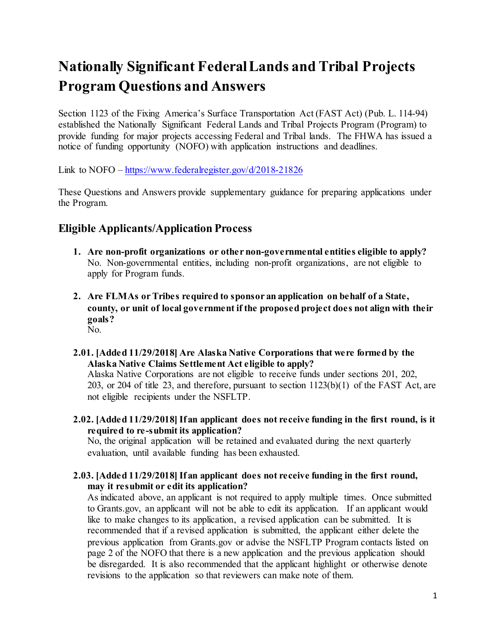# **Nationally Significant Federal Lands and Tribal Projects Program Questions and Answers**

Section 1123 of the Fixing America's Surface Transportation Act (FAST Act) (Pub. L. 114-94) established the Nationally Significant Federal Lands and Tribal Projects Program (Program) to provide funding for major projects accessing Federal and Tribal lands. The FHWA has issued a notice of funding opportunity (NOFO) with application instructions and deadlines.

Link to NOFO – <https://www.federalregister.gov/d/2018-21826>

These Questions and Answers provide supplementary guidance for preparing applications under the Program.

# **Eligible Applicants/Application Process**

- **1. Are non-profit organizations or other non-governmental entities eligible to apply?** No. Non-governmental entities, including non-profit organizations, are not eligible to apply for Program funds.
- **2. Are FLMAs or Tribes required to sponsor an application on behalf of a State, county, or unit of local government if the proposed project does not align with their goals?** No.
- **2.01. [Added 11/29/2018] Are Alaska Native Corporations that were formed by the Alaska Native Claims Settlement Act eligible to apply?**

Alaska Native Corporations are not eligible to receive funds under sections 201, 202, 203, or 204 of title 23, and therefore, pursuant to section 1123(b)(1) of the FAST Act, are not eligible recipients under the NSFLTP.

**2.02. [Added 11/29/2018] If an applicant does not receive funding in the first round, is it required to re-submit its application?**

No, the original application will be retained and evaluated during the next quarterly evaluation, until available funding has been exhausted.

**2.03. [Added 11/29/2018] If an applicant does not receive funding in the first round, may it resubmit or edit its application?**

As indicated above, an applicant is not required to apply multiple times. Once submitted to Grants.gov, an applicant will not be able to edit its application. If an applicant would like to make changes to its application, a revised application can be submitted. It is recommended that if a revised application is submitted, the applicant either delete the previous application from Grants.gov or advise the NSFLTP Program contacts listed on page 2 of the NOFO that there is a new application and the previous application should be disregarded. It is also recommended that the applicant highlight or otherwise denote revisions to the application so that reviewers can make note of them.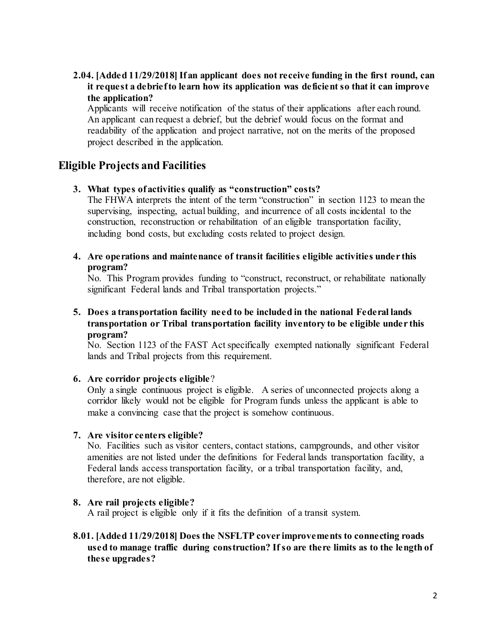## **2.04. [Added 11/29/2018] If an applicant does not receive funding in the first round, can it request a debrief to learn how its application was deficient so that it can improve the application?**

Applicants will receive notification of the status of their applications after each round. An applicant can request a debrief, but the debrief would focus on the format and readability of the application and project narrative, not on the merits of the proposed project described in the application.

# **Eligible Projects and Facilities**

#### **3. What types of activities qualify as "construction" costs?**

The FHWA interprets the intent of the term "construction" in section 1123 to mean the supervising, inspecting, actual building, and incurrence of all costs incidental to the construction, reconstruction or rehabilitation of an eligible transportation facility, including bond costs, but excluding costs related to project design.

#### **4. Are operations and maintenance of transit facilities eligible activities under this program?**

No. This Program provides funding to "construct, reconstruct, or rehabilitate nationally significant Federal lands and Tribal transportation projects."

## **5. Does a transportation facility need to be included in the national Federal lands transportation or Tribal transportation facility inventory to be eligible under this program?**

No. Section 1123 of the FAST Act specifically exempted nationally significant Federal lands and Tribal projects from this requirement.

#### **6. Are corridor projects eligible**?

Only a single continuous project is eligible. A series of unconnected projects along a corridor likely would not be eligible for Program funds unless the applicant is able to make a convincing case that the project is somehow continuous.

#### **7. Are visitor centers eligible?**

No. Facilities such as visitor centers, contact stations, campgrounds, and other visitor amenities are not listed under the definitions for Federal lands transportation facility, a Federal lands access transportation facility, or a tribal transportation facility, and, therefore, are not eligible.

#### **8. Are rail projects eligible?**

A rail project is eligible only if it fits the definition of a transit system.

## **8.01. [Added 11/29/2018] Does the NSFLTP cover improvements to connecting roads used to manage traffic during construction? If so are there limits as to the length of these upgrades?**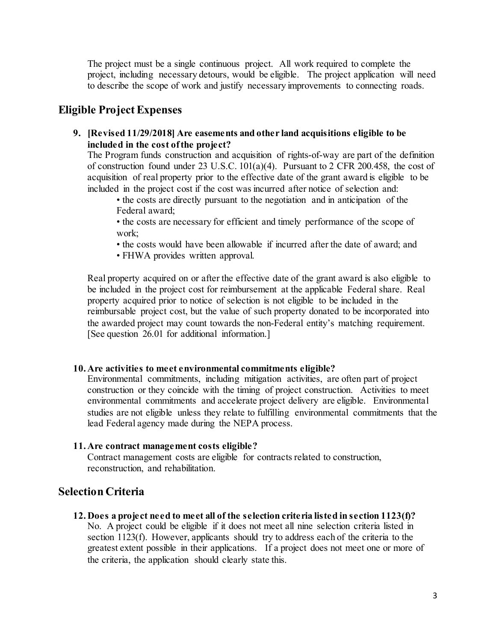The project must be a single continuous project. All work required to complete the project, including necessary detours, would be eligible. The project application will need to describe the scope of work and justify necessary improvements to connecting roads.

# **Eligible Project Expenses**

**9. [Revised 11/29/2018] Are easements and other land acquisitions eligible to be included in the cost of the project?**

The Program funds construction and acquisition of rights-of-way are part of the definition of construction found under 23 U.S.C. 101(a)(4). Pursuant to 2 CFR 200.458, the cost of acquisition of real property prior to the effective date of the grant award is eligible to be included in the project cost if the cost was incurred after notice of selection and:

• the costs are directly pursuant to the negotiation and in anticipation of the Federal award;

• the costs are necessary for efficient and timely performance of the scope of work;

• the costs would have been allowable if incurred after the date of award; and

• FHWA provides written approval.

Real property acquired on or after the effective date of the grant award is also eligible to be included in the project cost for reimbursement at the applicable Federal share. Real property acquired prior to notice of selection is not eligible to be included in the reimbursable project cost, but the value of such property donated to be incorporated into the awarded project may count towards the non-Federal entity's matching requirement. [See question 26.01 for additional information.]

#### **10. Are activities to meet environmental commitments eligible?**

Environmental commitments, including mitigation activities, are often part of project construction or they coincide with the timing of project construction. Activities to meet environmental commitments and accelerate project delivery are eligible. Environmental studies are not eligible unless they relate to fulfilling environmental commitments that the lead Federal agency made during the NEPA process.

#### **11. Are contract management costs eligible?**

Contract management costs are eligible for contracts related to construction, reconstruction, and rehabilitation.

# **Selection Criteria**

**12. Does a project need to meet all of the selection criteria listed in section 1123(f)?** No. A project could be eligible if it does not meet all nine selection criteria listed in section 1123(f). However, applicants should try to address each of the criteria to the greatest extent possible in their applications. If a project does not meet one or more of the criteria, the application should clearly state this.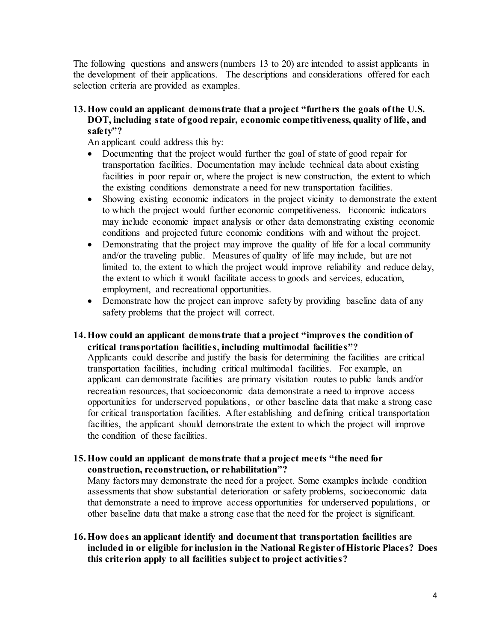The following questions and answers (numbers 13 to 20) are intended to assist applicants in the development of their applications. The descriptions and considerations offered for each selection criteria are provided as examples.

## **13.How could an applicant demonstrate that a project "furthers the goals of the U.S. DOT, including state of good repair, economic competitiveness, quality of life, and safety"?**

An applicant could address this by:

- Documenting that the project would further the goal of state of good repair for transportation facilities. Documentation may include technical data about existing facilities in poor repair or, where the project is new construction, the extent to which the existing conditions demonstrate a need for new transportation facilities.
- Showing existing economic indicators in the project vicinity to demonstrate the extent to which the project would further economic competitiveness. Economic indicators may include economic impact analysis or other data demonstrating existing economic conditions and projected future economic conditions with and without the project.
- Demonstrating that the project may improve the quality of life for a local community and/or the traveling public. Measures of quality of life may include, but are not limited to, the extent to which the project would improve reliability and reduce delay, the extent to which it would facilitate access to goods and services, education, employment, and recreational opportunities.
- Demonstrate how the project can improve safety by providing baseline data of any safety problems that the project will correct.

#### **14.How could an applicant demonstrate that a project "improves the condition of critical transportation facilities, including multimodal facilities"?**

Applicants could describe and justify the basis for determining the facilities are critical transportation facilities, including critical multimodal facilities. For example, an applicant can demonstrate facilities are primary visitation routes to public lands and/or recreation resources, that socioeconomic data demonstrate a need to improve access opportunities for underserved populations, or other baseline data that make a strong case for critical transportation facilities. After establishing and defining critical transportation facilities, the applicant should demonstrate the extent to which the project will improve the condition of these facilities.

#### **15.How could an applicant demonstrate that a project meets "the need for construction, reconstruction, or rehabilitation"?**

Many factors may demonstrate the need for a project. Some examples include condition assessments that show substantial deterioration or safety problems, socioeconomic data that demonstrate a need to improve access opportunities for underserved populations, or other baseline data that make a strong case that the need for the project is significant.

## **16.How does an applicant identify and document that transportation facilities are included in or eligible for inclusion in the National Register of Historic Places? Does this criterion apply to all facilities subject to project activities?**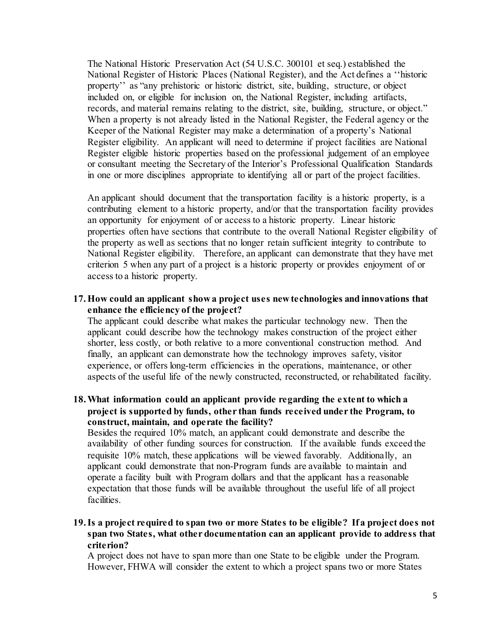The National Historic Preservation Act (54 U.S.C. 300101 et seq.) established the National Register of Historic Places (National Register), and the Act defines a ''historic property'' as "any prehistoric or historic district, site, building, structure, or object included on, or eligible for inclusion on, the National Register, including artifacts, records, and material remains relating to the district, site, building, structure, or object." When a property is not already listed in the National Register, the Federal agency or the Keeper of the National Register may make a determination of a property's National Register eligibility. An applicant will need to determine if project facilities are National Register eligible historic properties based on the professional judgement of an employee or consultant meeting the Secretary of the Interior's Professional Qualification Standards in one or more disciplines appropriate to identifying all or part of the project facilities.

An applicant should document that the transportation facility is a historic property, is a contributing element to a historic property, and/or that the transportation facility provides an opportunity for enjoyment of or access to a historic property. Linear historic properties often have sections that contribute to the overall National Register eligibility of the property as well as sections that no longer retain sufficient integrity to contribute to National Register eligibility. Therefore, an applicant can demonstrate that they have met criterion 5 when any part of a project is a historic property or provides enjoyment of or access to a historic property.

**17.How could an applicant show a project uses new technologies and innovations that enhance the efficiency of the project?** 

The applicant could describe what makes the particular technology new. Then the applicant could describe how the technology makes construction of the project either shorter, less costly, or both relative to a more conventional construction method. And finally, an applicant can demonstrate how the technology improves safety, visitor experience, or offers long-term efficiencies in the operations, maintenance, or other aspects of the useful life of the newly constructed, reconstructed, or rehabilitated facility.

## **18.What information could an applicant provide regarding the extent to which a project is supported by funds, other than funds received under the Program, to construct, maintain, and operate the facility?**

Besides the required 10% match, an applicant could demonstrate and describe the availability of other funding sources for construction. If the available funds exceed the requisite 10% match, these applications will be viewed favorably. Additionally, an applicant could demonstrate that non-Program funds are available to maintain and operate a facility built with Program dollars and that the applicant has a reasonable expectation that those funds will be available throughout the useful life of all project facilities.

## **19.Is a project required to span two or more States to be eligible? If a project does not span two States, what other documentation can an applicant provide to address that criterion?**

A project does not have to span more than one State to be eligible under the Program. However, FHWA will consider the extent to which a project spans two or more States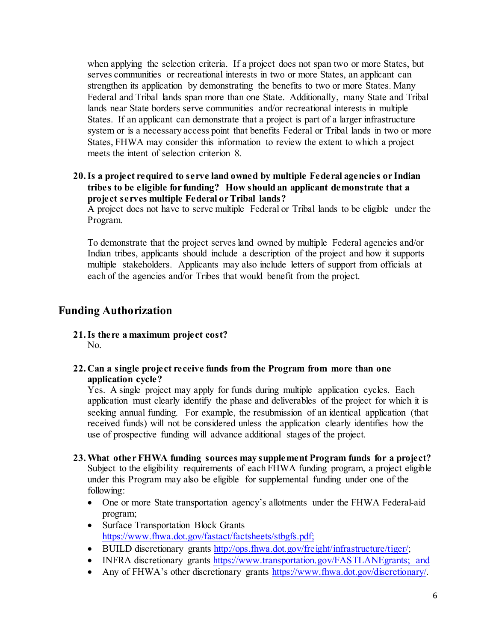when applying the selection criteria. If a project does not span two or more States, but serves communities or recreational interests in two or more States, an applicant can strengthen its application by demonstrating the benefits to two or more States. Many Federal and Tribal lands span more than one State. Additionally, many State and Tribal lands near State borders serve communities and/or recreational interests in multiple States. If an applicant can demonstrate that a project is part of a larger infrastructure system or is a necessary access point that benefits Federal or Tribal lands in two or more States, FHWA may consider this information to review the extent to which a project meets the intent of selection criterion 8.

## **20.Is a project required to serve land owned by multiple Federal agencies or Indian tribes to be eligible for funding? How should an applicant demonstrate that a project serves multiple Federal or Tribal lands?**

A project does not have to serve multiple Federal or Tribal lands to be eligible under the Program.

To demonstrate that the project serves land owned by multiple Federal agencies and/or Indian tribes, applicants should include a description of the project and how it supports multiple stakeholders. Applicants may also include letters of support from officials at each of the agencies and/or Tribes that would benefit from the project.

# **Funding Authorization**

- **21.Is there a maximum project cost?** No.
- **22. Can a single project receive funds from the Program from more than one application cycle?**

Yes. A single project may apply for funds during multiple application cycles. Each application must clearly identify the phase and deliverables of the project for which it is seeking annual funding. For example, the resubmission of an identical application (that received funds) will not be considered unless the application clearly identifies how the use of prospective funding will advance additional stages of the project.

- **23.What other FHWA funding sources may supplement Program funds for a project?** Subject to the eligibility requirements of each FHWA funding program, a project eligible under this Program may also be eligible for supplemental funding under one of the following:
	- One or more State transportation agency's allotments under the FHWA Federal-aid program;
	- Surface Transportation Block Grants [https://www.fhwa.dot.gov/fastact/factsheets/stbgfs.pdf;](https://www.fhwa.dot.gov/fastact/factsheets/stbgfs.pdf)
	- BUILD discretionary grants [http://ops.fhwa.dot.gov/freight/infrastructure/tiger/;](http://ops.fhwa.dot.gov/freight/infrastructure/tiger/)
	- INFRA discretionary grants [https://www.transportation.gov/FASTLANEgrants;](https://www.transportation.gov/FASTLANEgrants) and
	- Any of FHWA's other discretionary grants https://www.fhwa.dot.gov/discretionary/.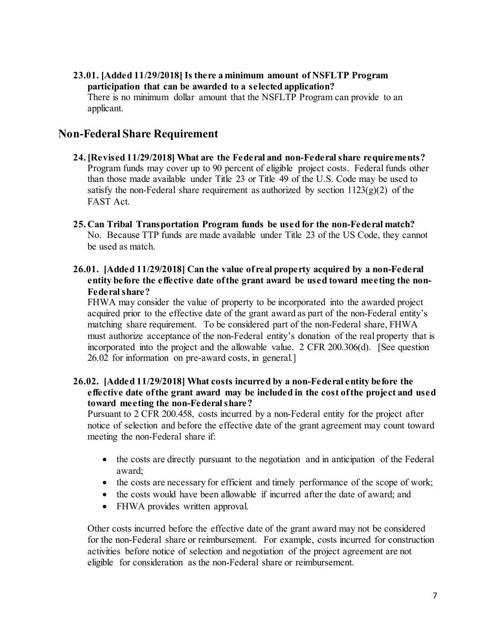**23.01. [Added 11/29/2018] Is there a minimum amount of NSFLTP Program participation that can be awarded to a selected application?**  There is no minimum dollar amount that the NSFLTP Program can provide to an applicant.

# **Non-Federal Share Requirement**

- **24.[Revised 11/29/2018] What are the Federal and non-Federal share requirements?** Program funds may cover up to 90 percent of eligible project costs. Federal funds other than those made available under Title 23 or Title 49 of the U.S. Code may be used to satisfy the non-Federal share requirement as authorized by section  $1123(g)(2)$  of the FAST Act.
- **25. Can Tribal Transportation Program funds be used for the non-Federal match?** No. Because TTP funds are made available under Title 23 of the US Code, they cannot be used as match.
- **26.01. [Added 11/29/2018] Can the value of real property acquired by a non-Federal entity before the effective date of the grant award be used toward meeting the non-Federal share?**

FHWA may consider the value of property to be incorporated into the awarded project acquired prior to the effective date of the grant award as part of the non-Federal entity's matching share requirement. To be considered part of the non-Federal share, FHWA must authorize acceptance of the non-Federal entity's donation of the real property that is incorporated into the project and the allowable value. 2 CFR 200.306(d). [See question 26.02 for information on pre-award costs, in general.]

#### **26.02. [Added 11/29/2018] What costs incurred by a non-Federal entity before the effective date of the grant award may be included in the cost of the project and used toward meeting the non-Federal share?**

Pursuant to 2 CFR 200.458, costs incurred by a non-Federal entity for the project after notice of selection and before the effective date of the grant agreement may count toward meeting the non-Federal share if:

- the costs are directly pursuant to the negotiation and in anticipation of the Federal award;
- the costs are necessary for efficient and timely performance of the scope of work;
- the costs would have been allowable if incurred after the date of award; and
- FHWA provides written approval.

Other costs incurred before the effective date of the grant award may not be considered for the non-Federal share or reimbursement. For example, costs incurred for construction activities before notice of selection and negotiation of the project agreement are not eligible for consideration as the non-Federal share or reimbursement.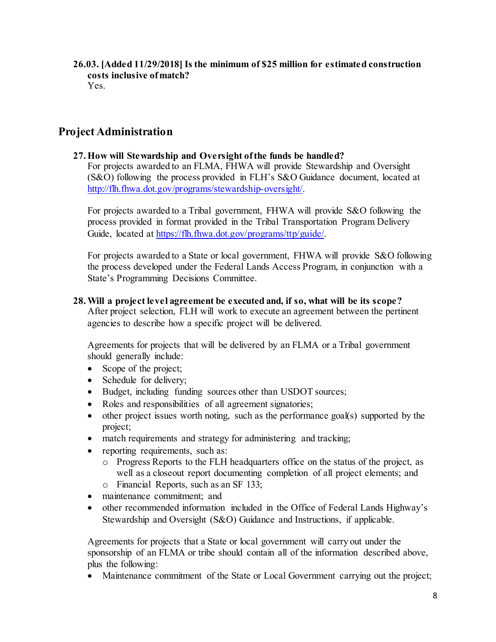**26.03. [Added 11/29/2018] Is the minimum of \$25 million for estimated construction costs inclusive of match?**  Yes.

# **Project Administration**

## **27.How will Stewardship and Oversight of the funds be handled?**

For projects awarded to an FLMA, FHWA will provide Stewardship and Oversight (S&O) following the process provided in FLH's S&O Guidance document, located at [http://flh.fhwa.dot.gov/programs/stewardship-oversight/.](http://flh.fhwa.dot.gov/programs/stewardship-oversight/) 

For projects awarded to a Tribal government, FHWA will provide S&O following the process provided in format provided in the Tribal Transportation Program Delivery Guide, located at [https://flh.fhwa.dot.gov/programs/ttp/guide/.](https://flh.fhwa.dot.gov/programs/ttp/guide/)

For projects awarded to a State or local government, FHWA will provide S&O following the process developed under the Federal Lands Access Program, in conjunction with a State's Programming Decisions Committee.

## **28.Will a project level agreement be executed and, if so, what will be its scope?**

After project selection, FLH will work to execute an agreement between the pertinent agencies to describe how a specific project will be delivered.

Agreements for projects that will be delivered by an FLMA or a Tribal government should generally include:

- Scope of the project;
- Schedule for delivery;
- Budget, including funding sources other than USDOT sources;
- Roles and responsibilities of all agreement signatories;
- other project issues worth noting, such as the performance goal(s) supported by the project;
- match requirements and strategy for administering and tracking;
- reporting requirements, such as:
	- o Progress Reports to the FLH headquarters office on the status of the project, as well as a closeout report documenting completion of all project elements; and
	- o Financial Reports, such as an SF 133;
- maintenance commitment: and
- other recommended information included in the Office of Federal Lands Highway's Stewardship and Oversight (S&O) Guidance and Instructions, if applicable.

Agreements for projects that a State or local government will carry out under the sponsorship of an FLMA or tribe should contain all of the information described above, plus the following:

• Maintenance commitment of the State or Local Government carrying out the project;